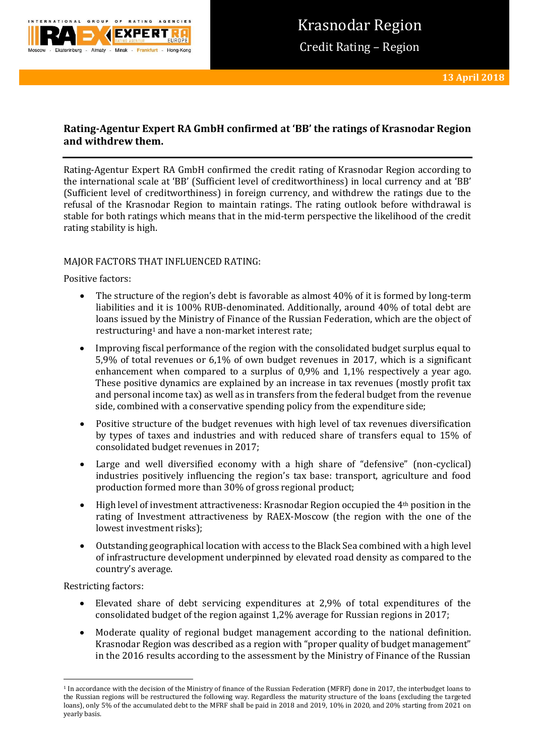

# **Rating-Agentur Expert RA GmbH confirmed at 'BB' the ratings of Krasnodar Region and withdrew them.**

Rating-Agentur Expert RA GmbH confirmed the credit rating of Krasnodar Region according to the international scale at 'BB' (Sufficient level of creditworthiness) in local currency and at 'BB' (Sufficient level of creditworthiness) in foreign currency, and withdrew the ratings due to the refusal of the Krasnodar Region to maintain ratings. The rating outlook before withdrawal is stable for both ratings which means that in the mid-term perspective the likelihood of the credit rating stability is high.

## MAJOR FACTORS THAT INFLUENCED RATING:

Positive factors:

- The structure of the region's debt is favorable as almost 40% of it is formed by long-term liabilities and it is 100% RUB-denominated. Additionally, around 40% of total debt are loans issued by the Ministry of Finance of the Russian Federation, which are the object of restructuring<sup>1</sup> and have a non-market interest rate;
- Improving fiscal performance of the region with the consolidated budget surplus equal to 5,9% of total revenues or 6,1% of own budget revenues in 2017, which is a significant enhancement when compared to a surplus of 0,9% and 1,1% respectively a year ago. These positive dynamics are explained by an increase in tax revenues (mostly profit tax and personal income tax) as well as in transfers from the federal budget from the revenue side, combined with a conservative spending policy from the expenditure side;
- Positive structure of the budget revenues with high level of tax revenues diversification by types of taxes and industries and with reduced share of transfers equal to 15% of consolidated budget revenues in 2017;
- Large and well diversified economy with a high share of "defensive" (non-cyclical) industries positively influencing the region's tax base: transport, agriculture and food production formed more than 30% of gross regional product;
- High level of investment attractiveness: Krasnodar Region occupied the 4th position in the rating of Investment attractiveness by RAEX-Moscow (the region with the one of the lowest investment risks);
- Outstanding geographical location with access to the Black Sea combined with a high level of infrastructure development underpinned by elevated road density as compared to the country's average.

Restricting factors:

**.** 

- Elevated share of debt servicing expenditures at 2,9% of total expenditures of the consolidated budget of the region against 1,2% average for Russian regions in 2017;
- Moderate quality of regional budget management according to the national definition. Krasnodar Region was described as a region with "proper quality of budget management" in the 2016 results according to the assessment by the Ministry of Finance of the Russian

<sup>1</sup> In accordance with the decision of the Ministry of finance of the Russian Federation (MFRF) done in 2017, the interbudget loans to the Russian regions will be restructured the following way. Regardless the maturity structure of the loans (excluding the targeted loans), only 5% of the accumulated debt to the MFRF shall be paid in 2018 and 2019, 10% in 2020, and 20% starting from 2021 on yearly basis.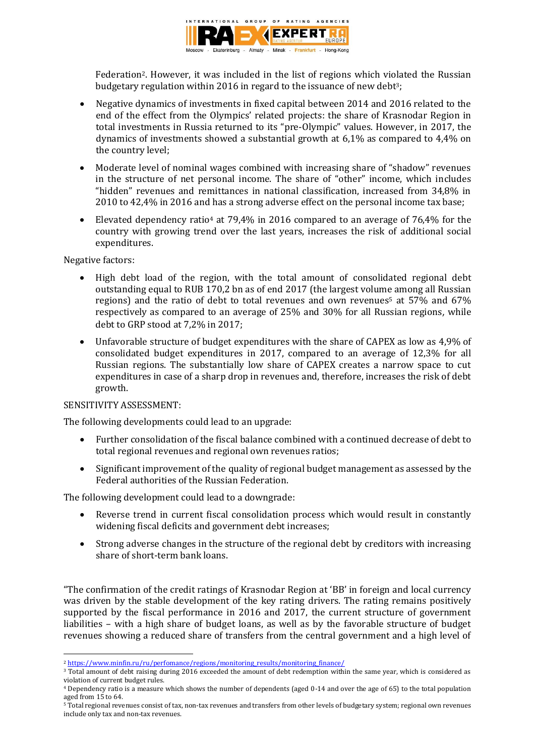

Federation2. However, it was included in the list of regions which violated the Russian budgetary regulation within 2016 in regard to the issuance of new debt<sup>3</sup>;

- Negative dynamics of investments in fixed capital between 2014 and 2016 related to the end of the effect from the Olympics' related projects: the share of Krasnodar Region in total investments in Russia returned to its "pre-Olympic" values. However, in 2017, the dynamics of investments showed a substantial growth at 6,1% as compared to 4,4% on the country level;
- Moderate level of nominal wages combined with increasing share of "shadow" revenues in the structure of net personal income. The share of "other" income, which includes "hidden" revenues and remittances in national classification, increased from 34,8% in 2010 to 42,4% in 2016 and has a strong adverse effect on the personal income tax base;
- Elevated dependency ratio<sup>4</sup> at 79,4% in 2016 compared to an average of 76,4% for the country with growing trend over the last years, increases the risk of additional social expenditures.

Negative factors:

- High debt load of the region, with the total amount of consolidated regional debt outstanding equal to RUB 170,2 bn as of end 2017 (the largest volume among all Russian regions) and the ratio of debt to total revenues and own revenues<sup>5</sup> at 57% and 67% respectively as compared to an average of 25% and 30% for all Russian regions, while debt to GRP stood at 7,2% in 2017;
- Unfavorable structure of budget expenditures with the share of CAPEX as low as 4,9% of consolidated budget expenditures in 2017, compared to an average of 12,3% for all Russian regions. The substantially low share of CAPEX creates a narrow space to cut expenditures in case of a sharp drop in revenues and, therefore, increases the risk of debt growth.

## SENSITIVITY ASSESSMENT:

The following developments could lead to an upgrade:

- Further consolidation of the fiscal balance combined with a continued decrease of debt to total regional revenues and regional own revenues ratios;
- Significant improvement of the quality of regional budget management as assessed by the Federal authorities of the Russian Federation.

The following development could lead to a downgrade:

- Reverse trend in current fiscal consolidation process which would result in constantly widening fiscal deficits and government debt increases;
- Strong adverse changes in the structure of the regional debt by creditors with increasing share of short-term bank loans.

"The confirmation of the credit ratings of Krasnodar Region at 'BB' in foreign and local currency was driven by the stable development of the key rating drivers. The rating remains positively supported by the fiscal performance in 2016 and 2017, the current structure of government liabilities – with a high share of budget loans, as well as by the favorable structure of budget revenues showing a reduced share of transfers from the central government and a high level of

<sup>3</sup> Total amount of debt raising during 2016 exceeded the amount of debt redemption within the same year, which is considered as violation of current budget rules.

**<sup>.</sup>** <sup>2</sup> https://www.minfin.ru/ru/perfomance/regions/monitoring results/monitoring finance/

<sup>4</sup> Dependency ratio is a measure which shows the number of dependents (aged 0-14 and over the age of 65) to the total population aged from 15 to 64.

<sup>&</sup>lt;sup>5</sup> Total regional revenues consist of tax, non-tax revenues and transfers from other levels of budgetary system; regional own revenues include only tax and non-tax revenues.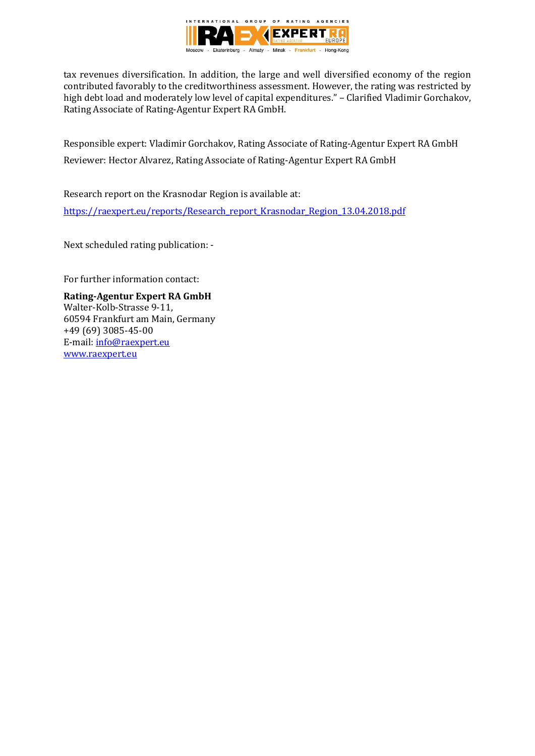

tax revenues diversification. In addition, the large and well diversified economy of the region contributed favorably to the creditworthiness assessment. However, the rating was restricted by high debt load and moderately low level of capital expenditures." – Clarified Vladimir Gorchakov, Rating Associate of Rating-Agentur Expert RA GmbH.

Responsible expert: Vladimir Gorchakov, Rating Associate of Rating-Agentur Expert RA GmbH Reviewer: Hector Alvarez, Rating Associate of Rating-Agentur Expert RA GmbH

Research report on the Krasnodar Region is available at:

[https://raexpert.eu/reports/Research\\_report\\_Krasnodar\\_Region\\_13.04.2018.pdf](https://raexpert.eu/reports/Research_report_Krasnodar_Region_13.04.2018.pdf)

Next scheduled rating publication: -

For further information contact:

**Rating-Agentur Expert RA GmbH** Walter-Kolb-Strasse 9-11, 60594 Frankfurt am Main, Germany +49 (69) 3085-45-00 E-mail[: info@raexpert.eu](mailto:info@raexpert.eu) [www.raexpert.eu](http://raexpert.eu/)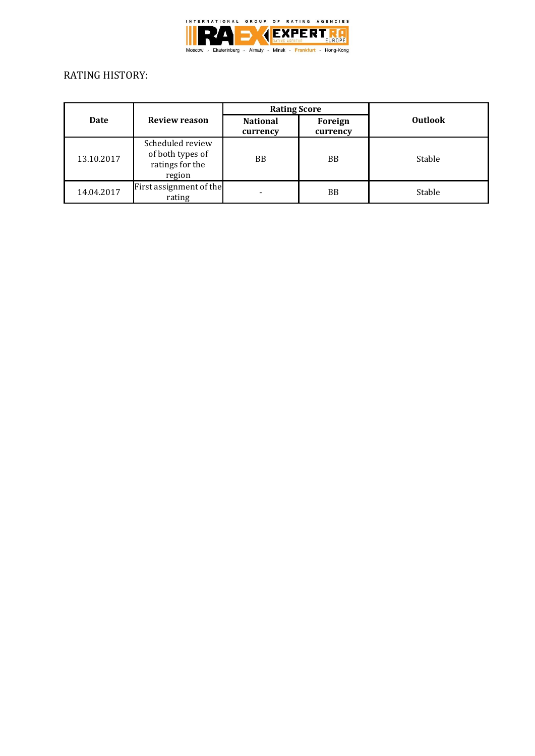

# RATING HISTORY:

|            | <b>Review reason</b>                                              | <b>Rating Score</b>         |                     |                |
|------------|-------------------------------------------------------------------|-----------------------------|---------------------|----------------|
| Date       |                                                                   | <b>National</b><br>currency | Foreign<br>currency | <b>Outlook</b> |
| 13.10.2017 | Scheduled review<br>of both types of<br>ratings for the<br>region | <b>BB</b>                   | <b>BB</b>           | Stable         |
| 14.04.2017 | First assignment of the<br>rating                                 |                             | BB.                 | Stable         |